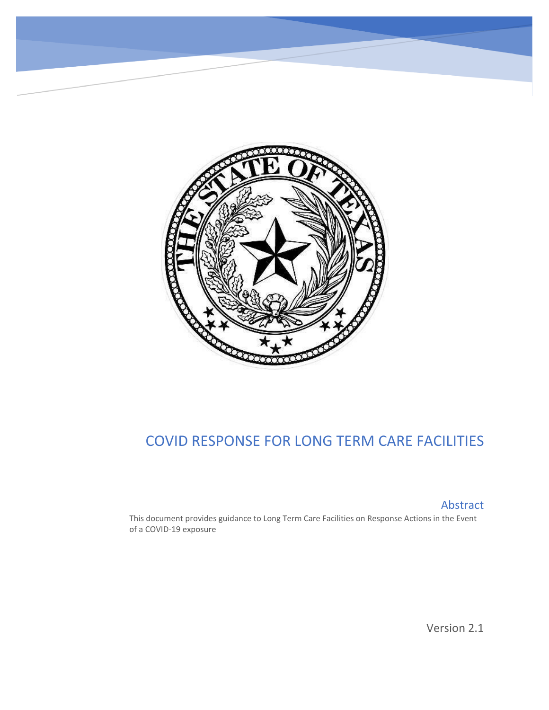

# COVID RESPONSE FOR LONG TERM CARE FACILITIES

Abstract

This document provides guidance to Long Term Care Facilities on Response Actions in the Event of a COVID-19 exposure

Version 2.1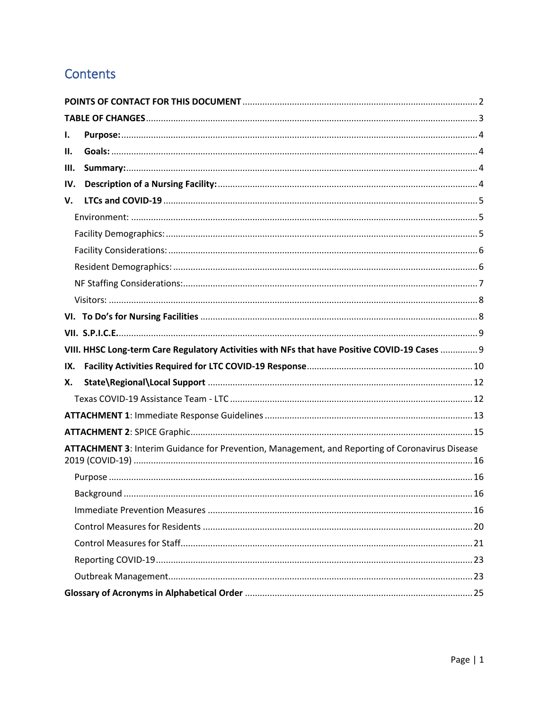# Contents

| I.                                                                                              |                                                                                               |  |  |  |  |
|-------------------------------------------------------------------------------------------------|-----------------------------------------------------------------------------------------------|--|--|--|--|
| Н.                                                                                              |                                                                                               |  |  |  |  |
| III.                                                                                            |                                                                                               |  |  |  |  |
| IV.                                                                                             |                                                                                               |  |  |  |  |
| V.                                                                                              |                                                                                               |  |  |  |  |
|                                                                                                 |                                                                                               |  |  |  |  |
|                                                                                                 |                                                                                               |  |  |  |  |
|                                                                                                 |                                                                                               |  |  |  |  |
|                                                                                                 |                                                                                               |  |  |  |  |
|                                                                                                 |                                                                                               |  |  |  |  |
|                                                                                                 |                                                                                               |  |  |  |  |
|                                                                                                 |                                                                                               |  |  |  |  |
|                                                                                                 |                                                                                               |  |  |  |  |
|                                                                                                 | VIII. HHSC Long-term Care Regulatory Activities with NFs that have Positive COVID-19 Cases  9 |  |  |  |  |
| IX.                                                                                             |                                                                                               |  |  |  |  |
| Х.                                                                                              |                                                                                               |  |  |  |  |
|                                                                                                 |                                                                                               |  |  |  |  |
|                                                                                                 |                                                                                               |  |  |  |  |
|                                                                                                 |                                                                                               |  |  |  |  |
| ATTACHMENT 3: Interim Guidance for Prevention, Management, and Reporting of Coronavirus Disease |                                                                                               |  |  |  |  |
|                                                                                                 |                                                                                               |  |  |  |  |
|                                                                                                 |                                                                                               |  |  |  |  |
|                                                                                                 |                                                                                               |  |  |  |  |
|                                                                                                 |                                                                                               |  |  |  |  |
|                                                                                                 |                                                                                               |  |  |  |  |
|                                                                                                 |                                                                                               |  |  |  |  |
|                                                                                                 |                                                                                               |  |  |  |  |
|                                                                                                 |                                                                                               |  |  |  |  |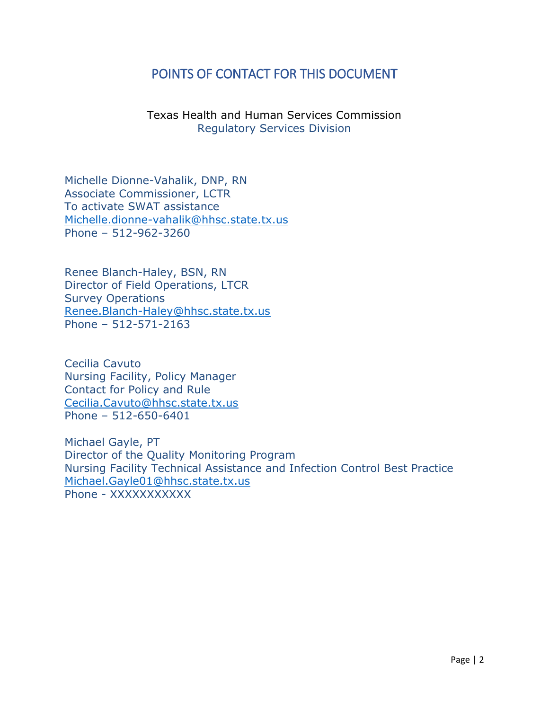# <span id="page-2-0"></span>POINTS OF CONTACT FOR THIS DOCUMENT

Texas Health and Human Services Commission Regulatory Services Division

Michelle Dionne-Vahalik, DNP, RN Associate Commissioner, LCTR To activate SWAT assistance [Michelle.dionne-vahalik@hhsc.state.tx.us](mailto:Michelle.dionne-vahalik@hhsc.state.tx.us) Phone – 512-962-3260

Renee Blanch-Haley, BSN, RN Director of Field Operations, LTCR Survey Operations [Renee.Blanch-Haley@hhsc.state.tx.us](mailto:Renee.Blanch-Haley@hhsc.state.tx.us) Phone – 512-571-2163

Cecilia Cavuto Nursing Facility, Policy Manager Contact for Policy and Rule [Cecilia.Cavuto@hhsc.state.tx.us](mailto:Cecilia.Cavuto@hhsc.state.tx.us) Phone – 512-650-6401

Michael Gayle, PT Director of the Quality Monitoring Program Nursing Facility Technical Assistance and Infection Control Best Practice [Michael.Gayle01@hhsc.state.tx.us](mailto:Michael.Gayle01@hhsc.state.tx.us) Phone - XXXXXXXXXX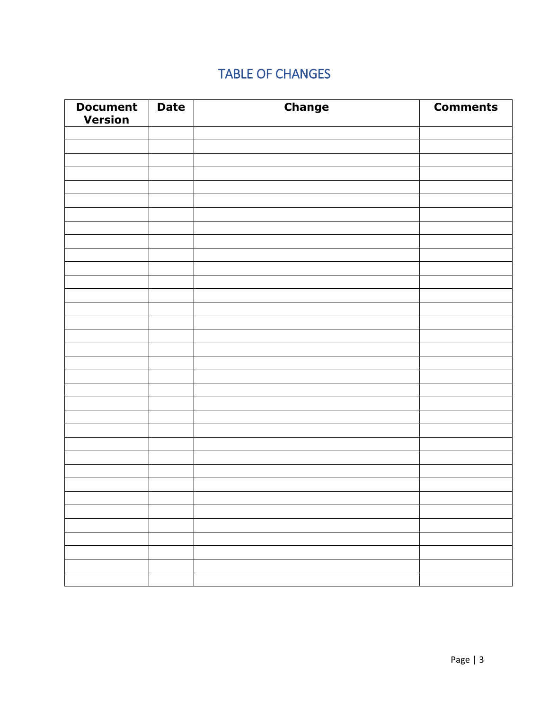# TABLE OF CHANGES

<span id="page-3-0"></span>

| <b>Document</b><br><b>Version</b> | <b>Date</b> | <b>Change</b> | <b>Comments</b> |
|-----------------------------------|-------------|---------------|-----------------|
|                                   |             |               |                 |
|                                   |             |               |                 |
|                                   |             |               |                 |
|                                   |             |               |                 |
|                                   |             |               |                 |
|                                   |             |               |                 |
|                                   |             |               |                 |
|                                   |             |               |                 |
|                                   |             |               |                 |
|                                   |             |               |                 |
|                                   |             |               |                 |
|                                   |             |               |                 |
|                                   |             |               |                 |
|                                   |             |               |                 |
|                                   |             |               |                 |
|                                   |             |               |                 |
|                                   |             |               |                 |
|                                   |             |               |                 |
|                                   |             |               |                 |
|                                   |             |               |                 |
|                                   |             |               |                 |
|                                   |             |               |                 |
|                                   |             |               |                 |
|                                   |             |               |                 |
|                                   |             |               |                 |
|                                   |             |               |                 |
|                                   |             |               |                 |
|                                   |             |               |                 |
|                                   |             |               |                 |
|                                   |             |               |                 |
|                                   |             |               |                 |
|                                   |             |               |                 |
|                                   |             |               |                 |
|                                   |             |               |                 |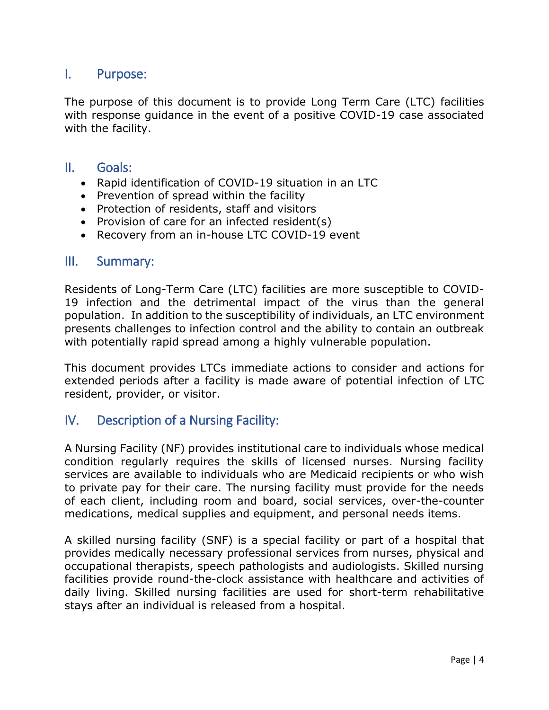# <span id="page-4-0"></span>I. Purpose:

The purpose of this document is to provide Long Term Care (LTC) facilities with response guidance in the event of a positive COVID-19 case associated with the facility.

## <span id="page-4-1"></span>II. Goals:

- Rapid identification of COVID-19 situation in an LTC
- Prevention of spread within the facility
- Protection of residents, staff and visitors
- Provision of care for an infected resident(s)
- Recovery from an in-house LTC COVID-19 event

### <span id="page-4-2"></span>III. Summary:

Residents of Long-Term Care (LTC) facilities are more susceptible to COVID-19 infection and the detrimental impact of the virus than the general population. In addition to the susceptibility of individuals, an LTC environment presents challenges to infection control and the ability to contain an outbreak with potentially rapid spread among a highly vulnerable population.

This document provides LTCs immediate actions to consider and actions for extended periods after a facility is made aware of potential infection of LTC resident, provider, or visitor.

# <span id="page-4-3"></span>IV. Description of a Nursing Facility:

A Nursing Facility (NF) provides institutional care to individuals whose medical condition regularly requires the skills of licensed nurses. Nursing facility services are available to individuals who are Medicaid recipients or who wish to private pay for their care. The nursing facility must provide for the needs of each client, including room and board, social services, over-the-counter medications, medical supplies and equipment, and personal needs items.

A skilled nursing facility (SNF) is a special facility or part of a hospital that provides medically necessary professional services from nurses, physical and occupational therapists, speech pathologists and audiologists. Skilled nursing facilities provide round-the-clock assistance with healthcare and activities of daily living. Skilled nursing facilities are used for short-term rehabilitative stays after an individual is released from a hospital.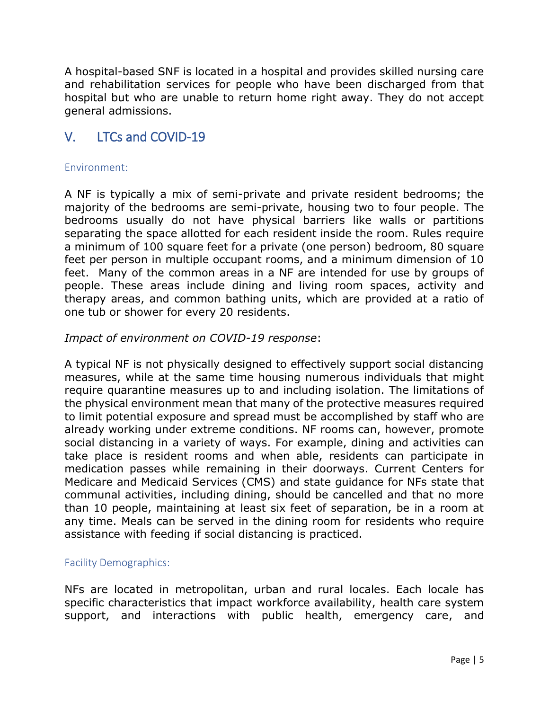A hospital-based SNF is located in a hospital and provides skilled nursing care and rehabilitation services for people who have been discharged from that hospital but who are unable to return home right away. They do not accept general admissions.

# <span id="page-5-0"></span>V. LTCs and COVID-19

#### <span id="page-5-1"></span>Environment:

A NF is typically a mix of semi-private and private resident bedrooms; the majority of the bedrooms are semi-private, housing two to four people. The bedrooms usually do not have physical barriers like walls or partitions separating the space allotted for each resident inside the room. Rules require a minimum of 100 square feet for a private (one person) bedroom, 80 square feet per person in multiple occupant rooms, and a minimum dimension of 10 feet. Many of the common areas in a NF are intended for use by groups of people. These areas include dining and living room spaces, activity and therapy areas, and common bathing units, which are provided at a ratio of one tub or shower for every 20 residents.

### *Impact of environment on COVID-19 response*:

A typical NF is not physically designed to effectively support social distancing measures, while at the same time housing numerous individuals that might require quarantine measures up to and including isolation. The limitations of the physical environment mean that many of the protective measures required to limit potential exposure and spread must be accomplished by staff who are already working under extreme conditions. NF rooms can, however, promote social distancing in a variety of ways. For example, dining and activities can take place is resident rooms and when able, residents can participate in medication passes while remaining in their doorways. Current Centers for Medicare and Medicaid Services (CMS) and state guidance for NFs state that communal activities, including dining, should be cancelled and that no more than 10 people, maintaining at least six feet of separation, be in a room at any time. Meals can be served in the dining room for residents who require assistance with feeding if social distancing is practiced.

### <span id="page-5-2"></span>Facility Demographics:

NFs are located in metropolitan, urban and rural locales. Each locale has specific characteristics that impact workforce availability, health care system support, and interactions with public health, emergency care, and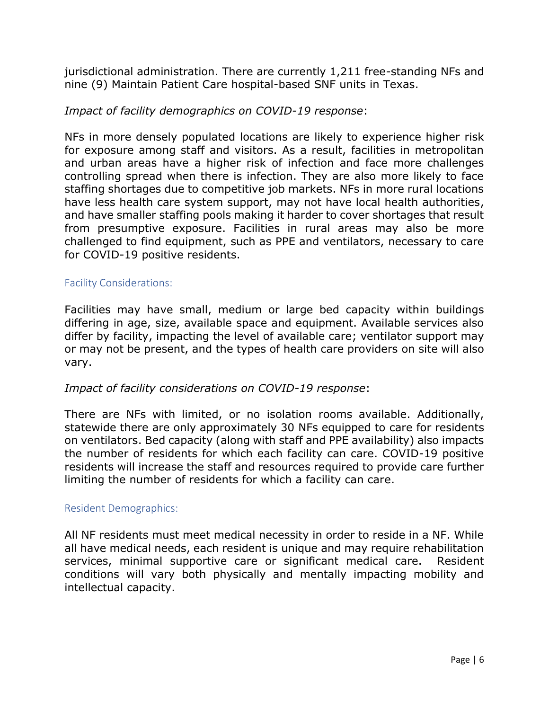jurisdictional administration. There are currently 1,211 free-standing NFs and nine (9) Maintain Patient Care hospital-based SNF units in Texas.

### *Impact of facility demographics on COVID-19 response*:

NFs in more densely populated locations are likely to experience higher risk for exposure among staff and visitors. As a result, facilities in metropolitan and urban areas have a higher risk of infection and face more challenges controlling spread when there is infection. They are also more likely to face staffing shortages due to competitive job markets. NFs in more rural locations have less health care system support, may not have local health authorities, and have smaller staffing pools making it harder to cover shortages that result from presumptive exposure. Facilities in rural areas may also be more challenged to find equipment, such as PPE and ventilators, necessary to care for COVID-19 positive residents.

#### <span id="page-6-0"></span>Facility Considerations:

Facilities may have small, medium or large bed capacity within buildings differing in age, size, available space and equipment. Available services also differ by facility, impacting the level of available care; ventilator support may or may not be present, and the types of health care providers on site will also vary.

### *Impact of facility considerations on COVID-19 response*:

There are NFs with limited, or no isolation rooms available. Additionally, statewide there are only approximately 30 NFs equipped to care for residents on ventilators. Bed capacity (along with staff and PPE availability) also impacts the number of residents for which each facility can care. COVID-19 positive residents will increase the staff and resources required to provide care further limiting the number of residents for which a facility can care.

#### <span id="page-6-1"></span>Resident Demographics:

All NF residents must meet medical necessity in order to reside in a NF. While all have medical needs, each resident is unique and may require rehabilitation services, minimal supportive care or significant medical care. Resident conditions will vary both physically and mentally impacting mobility and intellectual capacity.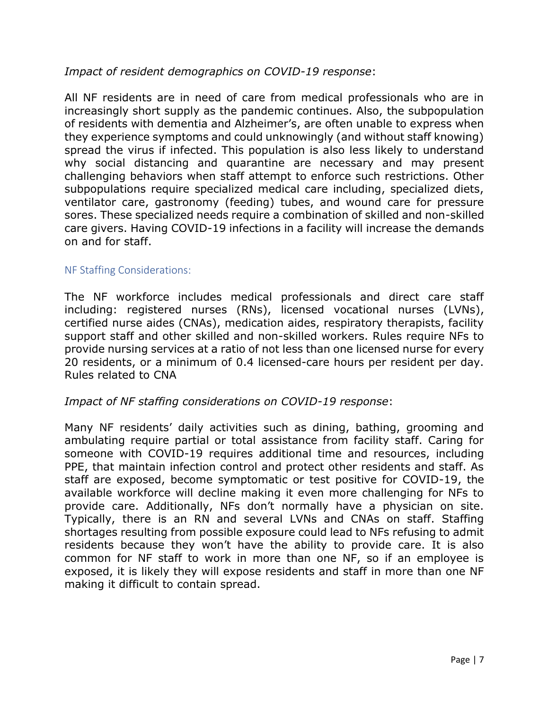## *Impact of resident demographics on COVID-19 response*:

All NF residents are in need of care from medical professionals who are in increasingly short supply as the pandemic continues. Also, the subpopulation of residents with dementia and Alzheimer's, are often unable to express when they experience symptoms and could unknowingly (and without staff knowing) spread the virus if infected. This population is also less likely to understand why social distancing and quarantine are necessary and may present challenging behaviors when staff attempt to enforce such restrictions. Other subpopulations require specialized medical care including, specialized diets, ventilator care, gastronomy (feeding) tubes, and wound care for pressure sores. These specialized needs require a combination of skilled and non-skilled care givers. Having COVID-19 infections in a facility will increase the demands on and for staff.

#### <span id="page-7-0"></span>NF Staffing Considerations:

The NF workforce includes medical professionals and direct care staff including: registered nurses (RNs), licensed vocational nurses (LVNs), certified nurse aides (CNAs), medication aides, respiratory therapists, facility support staff and other skilled and non-skilled workers. Rules require NFs to provide nursing services at a ratio of not less than one licensed nurse for every 20 residents, or a minimum of 0.4 licensed-care hours per resident per day. Rules related to CNA

### *Impact of NF staffing considerations on COVID-19 response*:

Many NF residents' daily activities such as dining, bathing, grooming and ambulating require partial or total assistance from facility staff. Caring for someone with COVID-19 requires additional time and resources, including PPE, that maintain infection control and protect other residents and staff. As staff are exposed, become symptomatic or test positive for COVID-19, the available workforce will decline making it even more challenging for NFs to provide care. Additionally, NFs don't normally have a physician on site. Typically, there is an RN and several LVNs and CNAs on staff. Staffing shortages resulting from possible exposure could lead to NFs refusing to admit residents because they won't have the ability to provide care. It is also common for NF staff to work in more than one NF, so if an employee is exposed, it is likely they will expose residents and staff in more than one NF making it difficult to contain spread.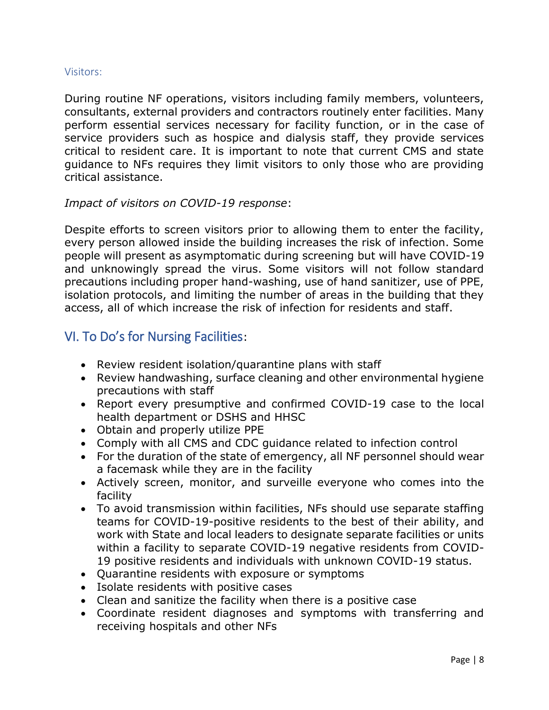#### <span id="page-8-0"></span>Visitors:

During routine NF operations, visitors including family members, volunteers, consultants, external providers and contractors routinely enter facilities. Many perform essential services necessary for facility function, or in the case of service providers such as hospice and dialysis staff, they provide services critical to resident care. It is important to note that current CMS and state guidance to NFs requires they limit visitors to only those who are providing critical assistance.

### *Impact of visitors on COVID-19 response*:

Despite efforts to screen visitors prior to allowing them to enter the facility, every person allowed inside the building increases the risk of infection. Some people will present as asymptomatic during screening but will have COVID-19 and unknowingly spread the virus. Some visitors will not follow standard precautions including proper hand-washing, use of hand sanitizer, use of PPE, isolation protocols, and limiting the number of areas in the building that they access, all of which increase the risk of infection for residents and staff.

# <span id="page-8-1"></span>VI. To Do's for Nursing Facilities:

- Review resident isolation/quarantine plans with staff
- Review handwashing, surface cleaning and other environmental hygiene precautions with staff
- Report every presumptive and confirmed COVID-19 case to the local health department or DSHS and HHSC
- Obtain and properly utilize PPE
- Comply with all CMS and CDC guidance related to infection control
- For the duration of the state of emergency, all NF personnel should wear a facemask while they are in the facility
- Actively screen, monitor, and surveille everyone who comes into the facility
- To avoid transmission within facilities, NFs should use separate staffing teams for COVID-19-positive residents to the best of their ability, and work with State and local leaders to designate separate facilities or units within a facility to separate COVID-19 negative residents from COVID-19 positive residents and individuals with unknown COVID-19 status.
- Quarantine residents with exposure or symptoms
- Isolate residents with positive cases
- Clean and sanitize the facility when there is a positive case
- Coordinate resident diagnoses and symptoms with transferring and receiving hospitals and other NFs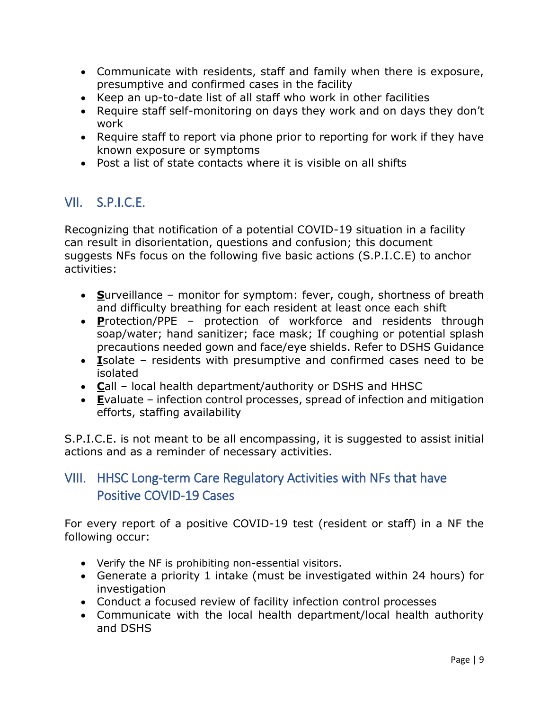- Communicate with residents, staff and family when there is exposure, presumptive and confirmed cases in the facility
- Keep an up-to-date list of all staff who work in other facilities
- Require staff self-monitoring on days they work and on days they don't work
- Require staff to report via phone prior to reporting for work if they have known exposure or symptoms
- Post a list of state contacts where it is visible on all shifts

# <span id="page-9-0"></span>VII. S.P.I.C.E.

Recognizing that notification of a potential COVID-19 situation in a facility can result in disorientation, questions and confusion; this document suggests NFs focus on the following five basic actions (S.P.I.C.E) to anchor activities:

- **S**urveillance monitor for symptom: fever, cough, shortness of breath and difficulty breathing for each resident at least once each shift
- **P**rotection/PPE protection of workforce and residents through soap/water; hand sanitizer; face mask; If coughing or potential splash precautions needed gown and face/eye shields. Refer to DSHS Guidance
- **I**solate residents with presumptive and confirmed cases need to be isolated
- **C**all local health department/authority or DSHS and HHSC
- **E**valuate infection control processes, spread of infection and mitigation efforts, staffing availability

S.P.I.C.E. is not meant to be all encompassing, it is suggested to assist initial actions and as a reminder of necessary activities.

# <span id="page-9-1"></span>VIII. HHSC Long-term Care Regulatory Activities with NFs that have Positive COVID-19 Cases

For every report of a positive COVID-19 test (resident or staff) in a NF the following occur:

- Verify the NF is prohibiting non-essential visitors.
- Generate a priority 1 intake (must be investigated within 24 hours) for investigation
- Conduct a focused review of facility infection control processes
- Communicate with the local health department/local health authority and DSHS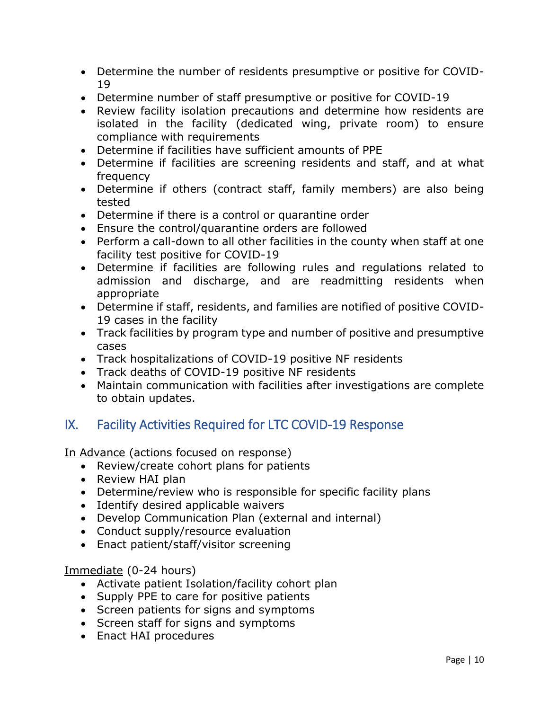- Determine the number of residents presumptive or positive for COVID-19
- Determine number of staff presumptive or positive for COVID-19
- Review facility isolation precautions and determine how residents are isolated in the facility (dedicated wing, private room) to ensure compliance with requirements
- Determine if facilities have sufficient amounts of PPE
- Determine if facilities are screening residents and staff, and at what frequency
- Determine if others (contract staff, family members) are also being tested
- Determine if there is a control or quarantine order
- Ensure the control/quarantine orders are followed
- Perform a call-down to all other facilities in the county when staff at one facility test positive for COVID-19
- Determine if facilities are following rules and regulations related to admission and discharge, and are readmitting residents when appropriate
- Determine if staff, residents, and families are notified of positive COVID-19 cases in the facility
- Track facilities by program type and number of positive and presumptive cases
- Track hospitalizations of COVID-19 positive NF residents
- Track deaths of COVID-19 positive NF residents
- Maintain communication with facilities after investigations are complete to obtain updates.

# <span id="page-10-0"></span>IX. Facility Activities Required for LTC COVID-19 Response

In Advance (actions focused on response)

- Review/create cohort plans for patients
- Review HAI plan
- Determine/review who is responsible for specific facility plans
- Identify desired applicable waivers
- Develop Communication Plan (external and internal)
- Conduct supply/resource evaluation
- Enact patient/staff/visitor screening

### Immediate (0-24 hours)

- Activate patient Isolation/facility cohort plan
- Supply PPE to care for positive patients
- Screen patients for signs and symptoms
- Screen staff for signs and symptoms
- Enact HAI procedures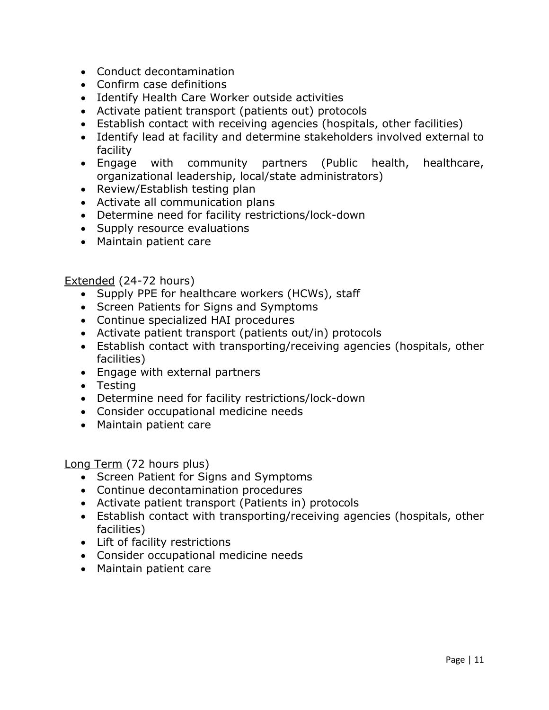- Conduct decontamination
- Confirm case definitions
- Identify Health Care Worker outside activities
- Activate patient transport (patients out) protocols
- Establish contact with receiving agencies (hospitals, other facilities)
- Identify lead at facility and determine stakeholders involved external to facility
- Engage with community partners (Public health, healthcare, organizational leadership, local/state administrators)
- Review/Establish testing plan
- Activate all communication plans
- Determine need for facility restrictions/lock-down
- Supply resource evaluations
- Maintain patient care

#### Extended (24-72 hours)

- Supply PPE for healthcare workers (HCWs), staff
- Screen Patients for Signs and Symptoms
- Continue specialized HAI procedures
- Activate patient transport (patients out/in) protocols
- Establish contact with transporting/receiving agencies (hospitals, other facilities)
- Engage with external partners
- Testing
- Determine need for facility restrictions/lock-down
- Consider occupational medicine needs
- Maintain patient care

Long Term (72 hours plus)

- Screen Patient for Signs and Symptoms
- Continue decontamination procedures
- Activate patient transport (Patients in) protocols
- Establish contact with transporting/receiving agencies (hospitals, other facilities)
- Lift of facility restrictions
- Consider occupational medicine needs
- Maintain patient care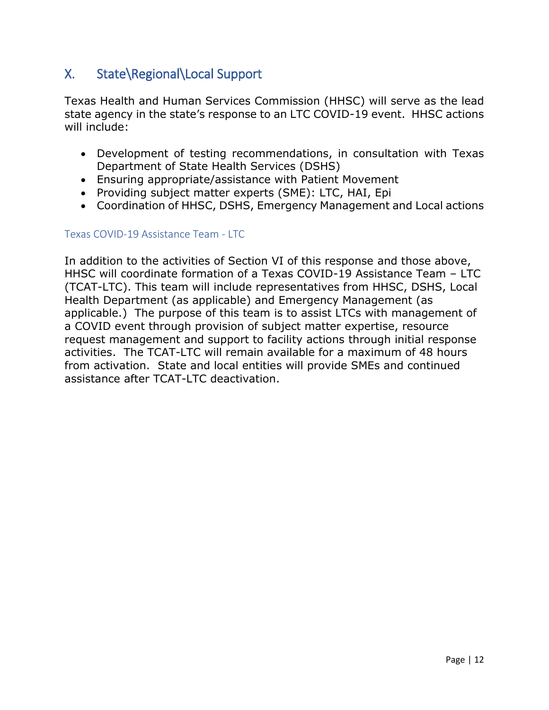# <span id="page-12-0"></span>X. State\Regional\Local Support

Texas Health and Human Services Commission (HHSC) will serve as the lead state agency in the state's response to an LTC COVID-19 event. HHSC actions will include:

- Development of testing recommendations, in consultation with Texas Department of State Health Services (DSHS)
- Ensuring appropriate/assistance with Patient Movement
- Providing subject matter experts (SME): LTC, HAI, Epi
- Coordination of HHSC, DSHS, Emergency Management and Local actions

#### <span id="page-12-1"></span>Texas COVID-19 Assistance Team - LTC

In addition to the activities of Section VI of this response and those above, HHSC will coordinate formation of a Texas COVID-19 Assistance Team – LTC (TCAT-LTC). This team will include representatives from HHSC, DSHS, Local Health Department (as applicable) and Emergency Management (as applicable.) The purpose of this team is to assist LTCs with management of a COVID event through provision of subject matter expertise, resource request management and support to facility actions through initial response activities. The TCAT-LTC will remain available for a maximum of 48 hours from activation. State and local entities will provide SMEs and continued assistance after TCAT-LTC deactivation.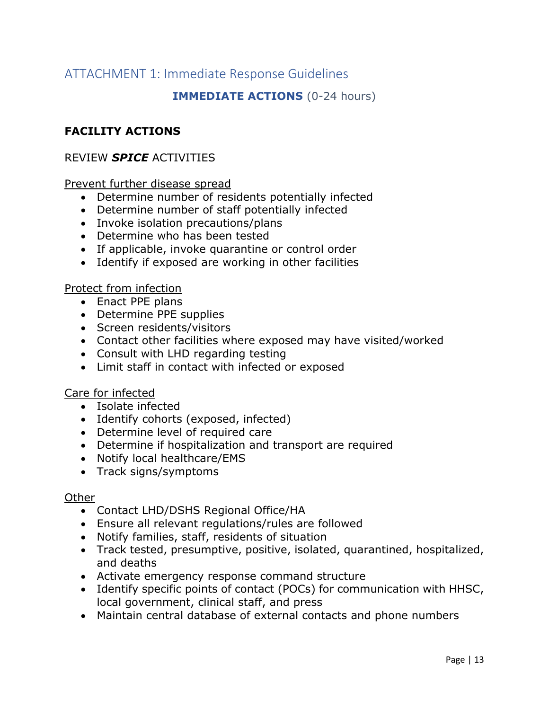# <span id="page-13-0"></span>ATTACHMENT 1: Immediate Response Guidelines

## **IMMEDIATE ACTIONS** (0-24 hours)

## **FACILITY ACTIONS**

#### REVIEW *SPICE* ACTIVITIES

#### Prevent further disease spread

- Determine number of residents potentially infected
- Determine number of staff potentially infected
- Invoke isolation precautions/plans
- Determine who has been tested
- If applicable, invoke quarantine or control order
- Identify if exposed are working in other facilities

#### Protect from infection

- Enact PPE plans
- Determine PPE supplies
- Screen residents/visitors
- Contact other facilities where exposed may have visited/worked
- Consult with LHD regarding testing
- Limit staff in contact with infected or exposed

#### Care for infected

- Isolate infected
- Identify cohorts (exposed, infected)
- Determine level of required care
- Determine if hospitalization and transport are required
- Notify local healthcare/EMS
- Track signs/symptoms

#### **Other**

- Contact LHD/DSHS Regional Office/HA
- Ensure all relevant regulations/rules are followed
- Notify families, staff, residents of situation
- Track tested, presumptive, positive, isolated, quarantined, hospitalized, and deaths
- Activate emergency response command structure
- Identify specific points of contact (POCs) for communication with HHSC, local government, clinical staff, and press
- Maintain central database of external contacts and phone numbers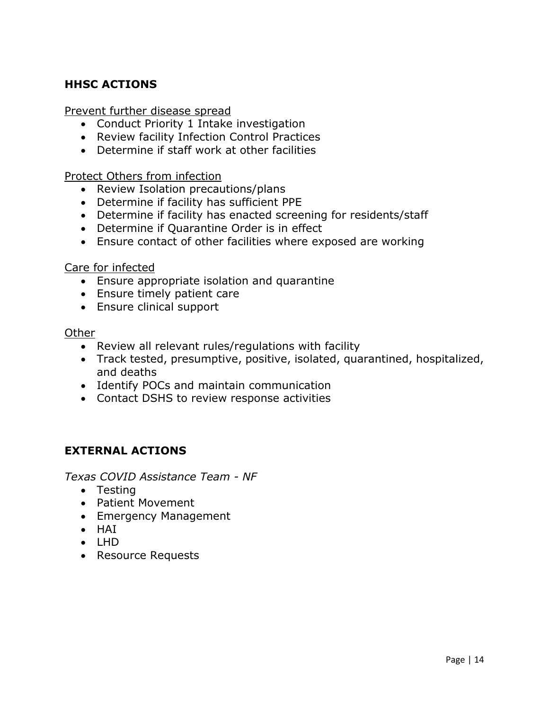# **HHSC ACTIONS**

Prevent further disease spread

- Conduct Priority 1 Intake investigation
- Review facility Infection Control Practices
- Determine if staff work at other facilities

Protect Others from infection

- Review Isolation precautions/plans
- Determine if facility has sufficient PPE
- Determine if facility has enacted screening for residents/staff
- Determine if Quarantine Order is in effect
- Ensure contact of other facilities where exposed are working

Care for infected

- Ensure appropriate isolation and quarantine
- Ensure timely patient care
- Ensure clinical support

#### **Other**

- Review all relevant rules/regulations with facility
- Track tested, presumptive, positive, isolated, quarantined, hospitalized, and deaths
- Identify POCs and maintain communication
- Contact DSHS to review response activities

## **EXTERNAL ACTIONS**

*Texas COVID Assistance Team - NF*

- Testing
- Patient Movement
- Emergency Management
- HAI
- $\bullet$  LHD
- Resource Requests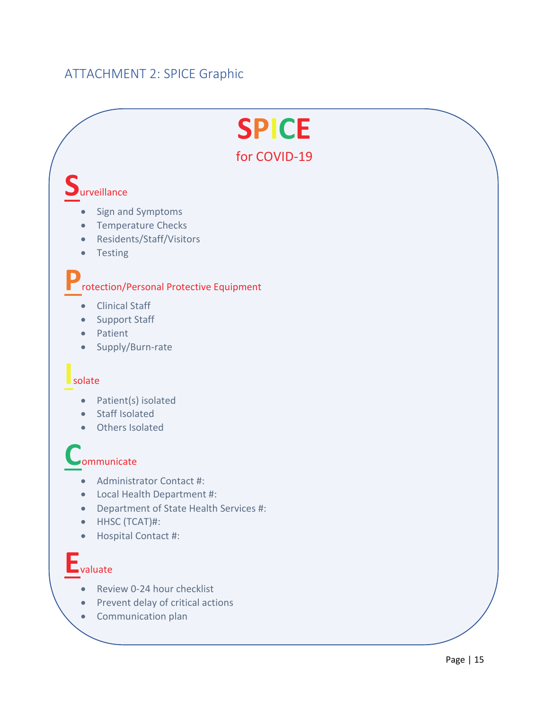# <span id="page-15-0"></span>ATTACHMENT 2: SPICE Graphic

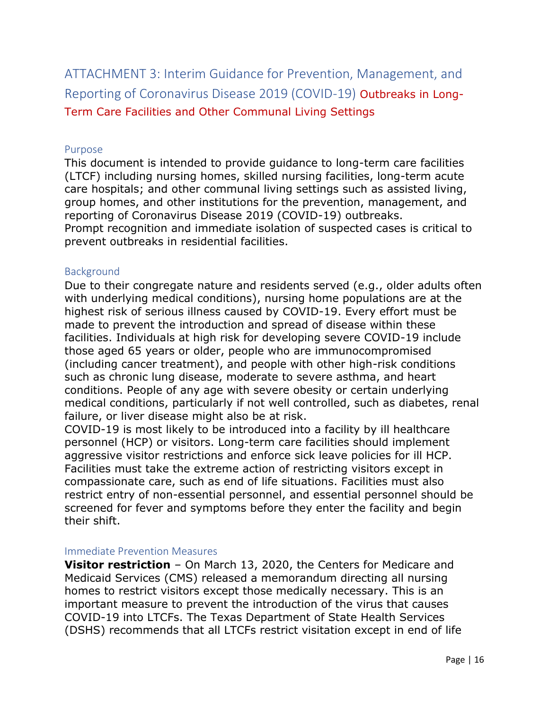<span id="page-16-0"></span>ATTACHMENT 3: Interim Guidance for Prevention, Management, and Reporting of Coronavirus Disease 2019 (COVID-19) Outbreaks in Long-Term Care Facilities and Other Communal Living Settings

#### <span id="page-16-1"></span>Purpose

This document is intended to provide guidance to long-term care facilities (LTCF) including nursing homes, skilled nursing facilities, long-term acute care hospitals; and other communal living settings such as assisted living, group homes, and other institutions for the prevention, management, and reporting of Coronavirus Disease 2019 (COVID-19) outbreaks. Prompt recognition and immediate isolation of suspected cases is critical to prevent outbreaks in residential facilities.

#### <span id="page-16-2"></span>Background

Due to their congregate nature and residents served (e.g., older adults often with underlying medical conditions), nursing home populations are at the highest risk of serious illness caused by COVID-19. Every effort must be made to prevent the introduction and spread of disease within these facilities. Individuals at high risk for developing severe COVID-19 include those aged 65 years or older, people who are immunocompromised (including cancer treatment), and people with other high-risk conditions such as chronic lung disease, moderate to severe asthma, and heart conditions. People of any age with severe obesity or certain underlying medical conditions, particularly if not well controlled, such as diabetes, renal failure, or liver disease might also be at risk.

COVID-19 is most likely to be introduced into a facility by ill healthcare personnel (HCP) or visitors. Long-term care facilities should implement aggressive visitor restrictions and enforce sick leave policies for ill HCP. Facilities must take the extreme action of restricting visitors except in compassionate care, such as end of life situations. Facilities must also restrict entry of non-essential personnel, and essential personnel should be screened for fever and symptoms before they enter the facility and begin their shift.

#### <span id="page-16-3"></span>Immediate Prevention Measures

**Visitor restriction** – On March 13, 2020, the Centers for Medicare and Medicaid Services (CMS) released a memorandum directing all nursing homes to restrict visitors except those medically necessary. This is an important measure to prevent the introduction of the virus that causes COVID-19 into LTCFs. The Texas Department of State Health Services (DSHS) recommends that all LTCFs restrict visitation except in end of life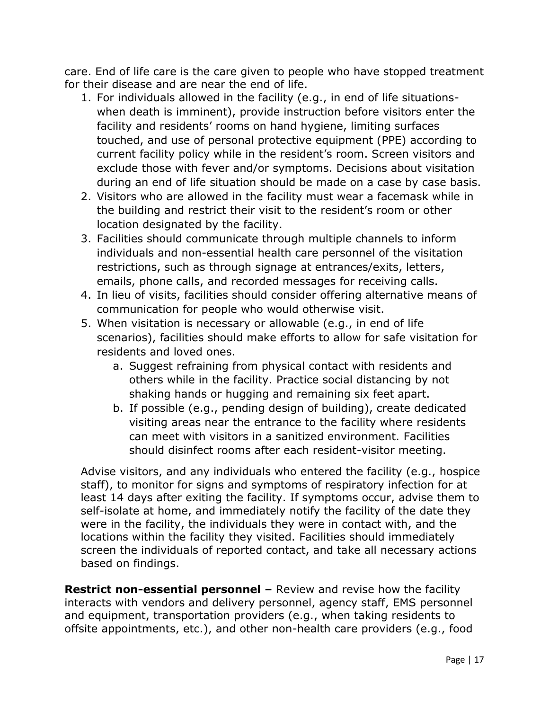care. End of life care is the care given to people who have stopped treatment for their disease and are near the end of life.

- 1. For individuals allowed in the facility (e.g., in end of life situationswhen death is imminent), provide instruction before visitors enter the facility and residents' rooms on hand hygiene, limiting surfaces touched, and use of personal protective equipment (PPE) according to current facility policy while in the resident's room. Screen visitors and exclude those with fever and/or symptoms. Decisions about visitation during an end of life situation should be made on a case by case basis.
- 2. Visitors who are allowed in the facility must wear a facemask while in the building and restrict their visit to the resident's room or other location designated by the facility.
- 3. Facilities should communicate through multiple channels to inform individuals and non-essential health care personnel of the visitation restrictions, such as through signage at entrances/exits, letters, emails, phone calls, and recorded messages for receiving calls.
- 4. In lieu of visits, facilities should consider offering alternative means of communication for people who would otherwise visit.
- 5. When visitation is necessary or allowable (e.g., in end of life scenarios), facilities should make efforts to allow for safe visitation for residents and loved ones.
	- a. Suggest refraining from physical contact with residents and others while in the facility. Practice social distancing by not shaking hands or hugging and remaining six feet apart.
	- b. If possible (e.g., pending design of building), create dedicated visiting areas near the entrance to the facility where residents can meet with visitors in a sanitized environment. Facilities should disinfect rooms after each resident-visitor meeting.

Advise visitors, and any individuals who entered the facility (e.g., hospice staff), to monitor for signs and symptoms of respiratory infection for at least 14 days after exiting the facility. If symptoms occur, advise them to self-isolate at home, and immediately notify the facility of the date they were in the facility, the individuals they were in contact with, and the locations within the facility they visited. Facilities should immediately screen the individuals of reported contact, and take all necessary actions based on findings.

**Restrict non-essential personnel –** Review and revise how the facility interacts with vendors and delivery personnel, agency staff, EMS personnel and equipment, transportation providers (e.g., when taking residents to offsite appointments, etc.), and other non-health care providers (e.g., food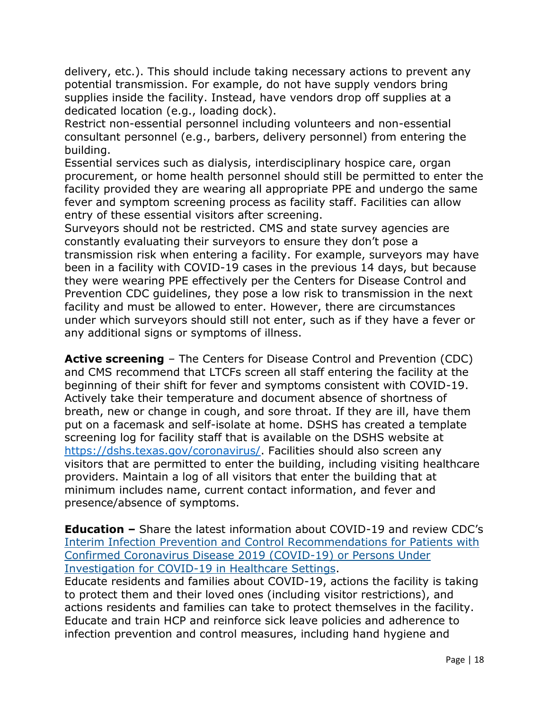delivery, etc.). This should include taking necessary actions to prevent any potential transmission. For example, do not have supply vendors bring supplies inside the facility. Instead, have vendors drop off supplies at a dedicated location (e.g., loading dock).

Restrict non-essential personnel including volunteers and non-essential consultant personnel (e.g., barbers, delivery personnel) from entering the building.

Essential services such as dialysis, interdisciplinary hospice care, organ procurement, or home health personnel should still be permitted to enter the facility provided they are wearing all appropriate PPE and undergo the same fever and symptom screening process as facility staff. Facilities can allow entry of these essential visitors after screening.

Surveyors should not be restricted. CMS and state survey agencies are constantly evaluating their surveyors to ensure they don't pose a transmission risk when entering a facility. For example, surveyors may have been in a facility with COVID-19 cases in the previous 14 days, but because they were wearing PPE effectively per the Centers for Disease Control and Prevention CDC guidelines, they pose a low risk to transmission in the next facility and must be allowed to enter. However, there are circumstances under which surveyors should still not enter, such as if they have a fever or any additional signs or symptoms of illness.

**Active screening** – The Centers for Disease Control and Prevention (CDC) and CMS recommend that LTCFs screen all staff entering the facility at the beginning of their shift for fever and symptoms consistent with COVID-19. Actively take their temperature and document absence of shortness of breath, new or change in cough, and sore throat. If they are ill, have them put on a facemask and self-isolate at home. DSHS has created a template screening log for facility staff that is available on the DSHS website at [https://dshs.texas.gov/coronavirus/.](https://dshs.texas.gov/coronavirus/) Facilities should also screen any visitors that are permitted to enter the building, including visiting healthcare providers. Maintain a log of all visitors that enter the building that at minimum includes name, current contact information, and fever and presence/absence of symptoms.

**Education –** Share the latest information about COVID-19 and review CDC's [Interim Infection Prevention and Control Recommendations for Patients with](https://www.cdc.gov/coronavirus/2019-ncov/infection-control/control-recommendations.html)  [Confirmed Coronavirus Disease 2019 \(COVID-19\) or Persons Under](https://www.cdc.gov/coronavirus/2019-ncov/infection-control/control-recommendations.html)  [Investigation for COVID-19 in Healthcare Settings.](https://www.cdc.gov/coronavirus/2019-ncov/infection-control/control-recommendations.html)

Educate residents and families about COVID-19, actions the facility is taking to protect them and their loved ones (including visitor restrictions), and actions residents and families can take to protect themselves in the facility. Educate and train HCP and reinforce sick leave policies and adherence to infection prevention and control measures, including hand hygiene and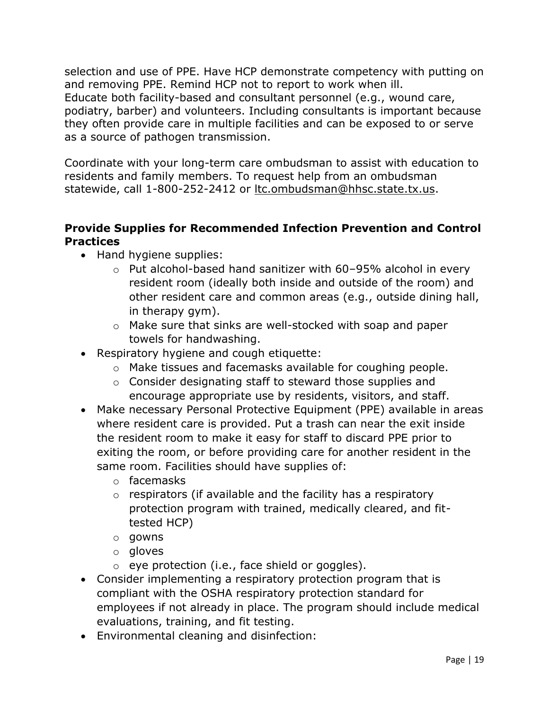selection and use of PPE. Have HCP demonstrate competency with putting on and removing PPE. Remind HCP not to report to work when ill. Educate both facility-based and consultant personnel (e.g., wound care, podiatry, barber) and volunteers. Including consultants is important because they often provide care in multiple facilities and can be exposed to or serve as a source of pathogen transmission.

Coordinate with your long-term care ombudsman to assist with education to residents and family members. To request help from an ombudsman statewide, call 1-800-252-2412 or [ltc.ombudsman@hhsc.state.tx.us.](mailto:ltc.ombudsman@hhsc.state.tx.us)

## **Provide Supplies for Recommended Infection Prevention and Control Practices**

- Hand hygiene supplies:
	- o Put alcohol-based hand sanitizer with 60–95% alcohol in every resident room (ideally both inside and outside of the room) and other resident care and common areas (e.g., outside dining hall, in therapy gym).
	- o Make sure that sinks are well-stocked with soap and paper towels for handwashing.
- Respiratory hygiene and cough etiquette:
	- o Make tissues and facemasks available for coughing people.
	- o Consider designating staff to steward those supplies and encourage appropriate use by residents, visitors, and staff.
- Make necessary Personal Protective Equipment (PPE) available in areas where resident care is provided. Put a trash can near the exit inside the resident room to make it easy for staff to discard PPE prior to exiting the room, or before providing care for another resident in the same room. Facilities should have supplies of:
	- o facemasks
	- o respirators (if available and the facility has a respiratory protection program with trained, medically cleared, and fittested HCP)
	- o gowns
	- o gloves
	- o eye protection (i.e., face shield or goggles).
- Consider implementing a respiratory protection program that is compliant with the OSHA respiratory protection standard for employees if not already in place. The program should include medical evaluations, training, and fit testing.
- Environmental cleaning and disinfection: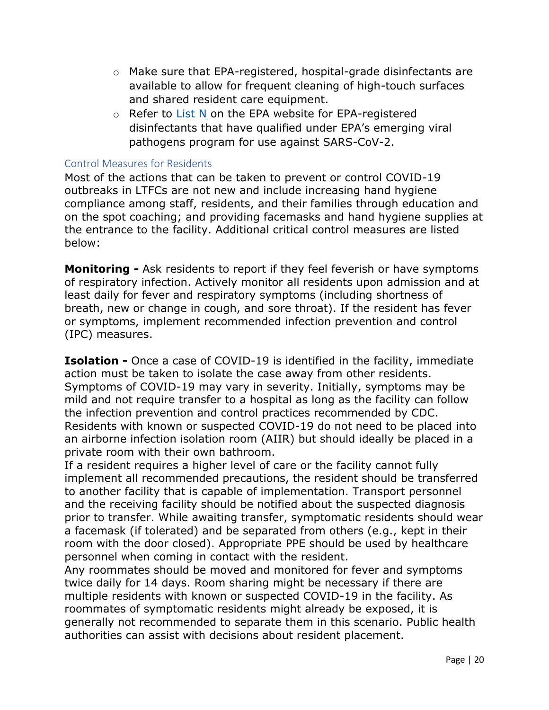- o Make sure that EPA-registered, hospital-grade disinfectants are available to allow for frequent cleaning of high-touch surfaces and shared resident care equipment.
- $\circ$  Refer to [List N](https://www.epa.gov/pesticide-registration/list-n-disinfectants-use-against-sars-cov-2) on the EPA website for EPA-registered disinfectants that have qualified under EPA's emerging viral pathogens program for use against SARS-CoV-2.

#### <span id="page-20-0"></span>Control Measures for Residents

Most of the actions that can be taken to prevent or control COVID-19 outbreaks in LTFCs are not new and include increasing hand hygiene compliance among staff, residents, and their families through education and on the spot coaching; and providing facemasks and hand hygiene supplies at the entrance to the facility. Additional critical control measures are listed below:

**Monitoring -** Ask residents to report if they feel feverish or have symptoms of respiratory infection. Actively monitor all residents upon admission and at least daily for fever and respiratory symptoms (including shortness of breath, new or change in cough, and sore throat). If the resident has fever or symptoms, implement recommended infection prevention and control (IPC) measures.

**Isolation -** Once a case of COVID-19 is identified in the facility, immediate action must be taken to isolate the case away from other residents. Symptoms of COVID-19 may vary in severity. Initially, symptoms may be mild and not require transfer to a hospital as long as the facility can follow the infection prevention and control practices recommended by CDC. Residents with known or suspected COVID-19 do not need to be placed into an airborne infection isolation room (AIIR) but should ideally be placed in a private room with their own bathroom.

If a resident requires a higher level of care or the facility cannot fully implement all recommended precautions, the resident should be transferred to another facility that is capable of implementation. Transport personnel and the receiving facility should be notified about the suspected diagnosis prior to transfer. While awaiting transfer, symptomatic residents should wear a facemask (if tolerated) and be separated from others (e.g., kept in their room with the door closed). Appropriate PPE should be used by healthcare personnel when coming in contact with the resident.

Any roommates should be moved and monitored for fever and symptoms twice daily for 14 days. Room sharing might be necessary if there are multiple residents with known or suspected COVID-19 in the facility. As roommates of symptomatic residents might already be exposed, it is generally not recommended to separate them in this scenario. Public health authorities can assist with decisions about resident placement.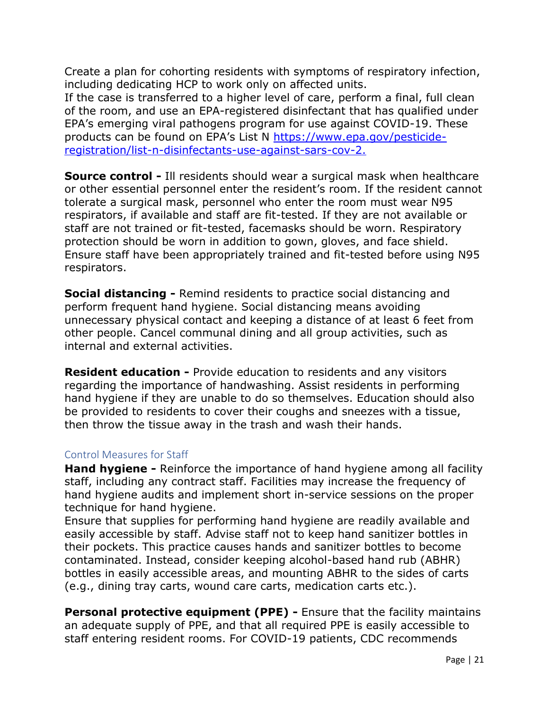Create a plan for cohorting residents with symptoms of respiratory infection, including dedicating HCP to work only on affected units. If the case is transferred to a higher level of care, perform a final, full clean of the room, and use an EPA-registered disinfectant that has qualified under EPA's emerging viral pathogens program for use against COVID-19. These products can be found on EPA's List N [https://www.epa.gov/pesticide](https://www.epa.gov/pesticide-registration/list-n-disinfectants-use-against-sars-cov-2)[registration/list-n-disinfectants-use-against-sars-cov-2.](https://www.epa.gov/pesticide-registration/list-n-disinfectants-use-against-sars-cov-2)

**Source control -** Ill residents should wear a surgical mask when healthcare or other essential personnel enter the resident's room. If the resident cannot tolerate a surgical mask, personnel who enter the room must wear N95 respirators, if available and staff are fit-tested. If they are not available or staff are not trained or fit-tested, facemasks should be worn. Respiratory protection should be worn in addition to gown, gloves, and face shield. Ensure staff have been appropriately trained and fit-tested before using N95 respirators.

**Social distancing -** Remind residents to practice social distancing and perform frequent hand hygiene. Social distancing means avoiding unnecessary physical contact and keeping a distance of at least 6 feet from other people. Cancel communal dining and all group activities, such as internal and external activities.

**Resident education -** Provide education to residents and any visitors regarding the importance of handwashing. Assist residents in performing hand hygiene if they are unable to do so themselves. Education should also be provided to residents to cover their coughs and sneezes with a tissue, then throw the tissue away in the trash and wash their hands.

#### <span id="page-21-0"></span>Control Measures for Staff

**Hand hygiene -** Reinforce the importance of hand hygiene among all facility staff, including any contract staff. Facilities may increase the frequency of hand hygiene audits and implement short in-service sessions on the proper technique for hand hygiene.

Ensure that supplies for performing hand hygiene are readily available and easily accessible by staff. Advise staff not to keep hand sanitizer bottles in their pockets. This practice causes hands and sanitizer bottles to become contaminated. Instead, consider keeping alcohol-based hand rub (ABHR) bottles in easily accessible areas, and mounting ABHR to the sides of carts (e.g., dining tray carts, wound care carts, medication carts etc.).

**Personal protective equipment (PPE) -** Ensure that the facility maintains an adequate supply of PPE, and that all required PPE is easily accessible to staff entering resident rooms. For COVID-19 patients, CDC recommends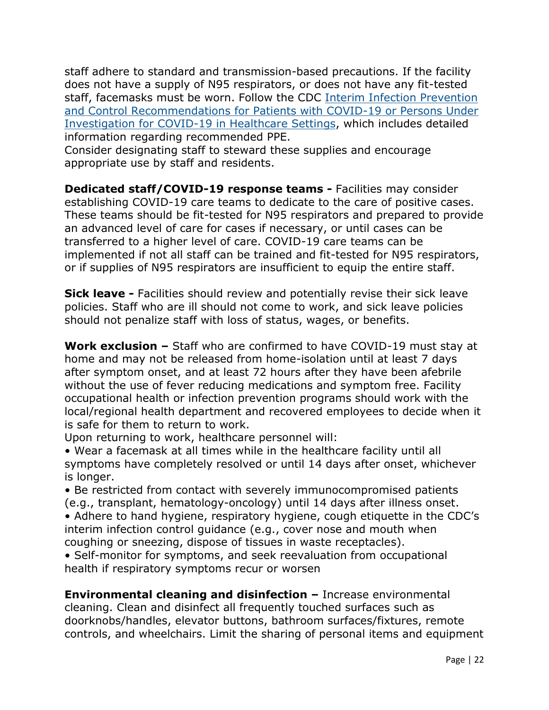staff adhere to standard and transmission-based precautions. If the facility does not have a supply of N95 respirators, or does not have any fit-tested staff, facemasks must be worn. Follow the CDC [Interim Infection Prevention](https://www.cdc.gov/coronavirus/2019-ncov/infection-control/control-recommendations.html?CDC_AA_refVal=https%3A%2F%2Fwww.cdc.gov%2Fcoronavirus%2F2019-ncov%2Fhcp%2Finfection-control.html)  [and Control Recommendations for Patients with COVID-19 or Persons Under](https://www.cdc.gov/coronavirus/2019-ncov/infection-control/control-recommendations.html?CDC_AA_refVal=https%3A%2F%2Fwww.cdc.gov%2Fcoronavirus%2F2019-ncov%2Fhcp%2Finfection-control.html)  [Investigation for COVID-19 in Healthcare Settings,](https://www.cdc.gov/coronavirus/2019-ncov/infection-control/control-recommendations.html?CDC_AA_refVal=https%3A%2F%2Fwww.cdc.gov%2Fcoronavirus%2F2019-ncov%2Fhcp%2Finfection-control.html) which includes detailed information regarding recommended PPE.

Consider designating staff to steward these supplies and encourage appropriate use by staff and residents.

**Dedicated staff/COVID-19 response teams -** Facilities may consider establishing COVID-19 care teams to dedicate to the care of positive cases. These teams should be fit-tested for N95 respirators and prepared to provide an advanced level of care for cases if necessary, or until cases can be transferred to a higher level of care. COVID-19 care teams can be implemented if not all staff can be trained and fit-tested for N95 respirators, or if supplies of N95 respirators are insufficient to equip the entire staff.

**Sick leave -** Facilities should review and potentially revise their sick leave policies. Staff who are ill should not come to work, and sick leave policies should not penalize staff with loss of status, wages, or benefits.

**Work exclusion –** Staff who are confirmed to have COVID-19 must stay at home and may not be released from home-isolation until at least 7 days after symptom onset, and at least 72 hours after they have been afebrile without the use of fever reducing medications and symptom free. Facility occupational health or infection prevention programs should work with the local/regional health department and recovered employees to decide when it is safe for them to return to work.

Upon returning to work, healthcare personnel will:

• Wear a facemask at all times while in the healthcare facility until all symptoms have completely resolved or until 14 days after onset, whichever is longer.

• Be restricted from contact with severely immunocompromised patients (e.g., transplant, hematology-oncology) until 14 days after illness onset. • Adhere to hand hygiene, respiratory hygiene, cough etiquette in the CDC's interim infection control guidance (e.g., cover nose and mouth when coughing or sneezing, dispose of tissues in waste receptacles).

• Self-monitor for symptoms, and seek reevaluation from occupational health if respiratory symptoms recur or worsen

**Environmental cleaning and disinfection –** Increase environmental cleaning. Clean and disinfect all frequently touched surfaces such as doorknobs/handles, elevator buttons, bathroom surfaces/fixtures, remote controls, and wheelchairs. Limit the sharing of personal items and equipment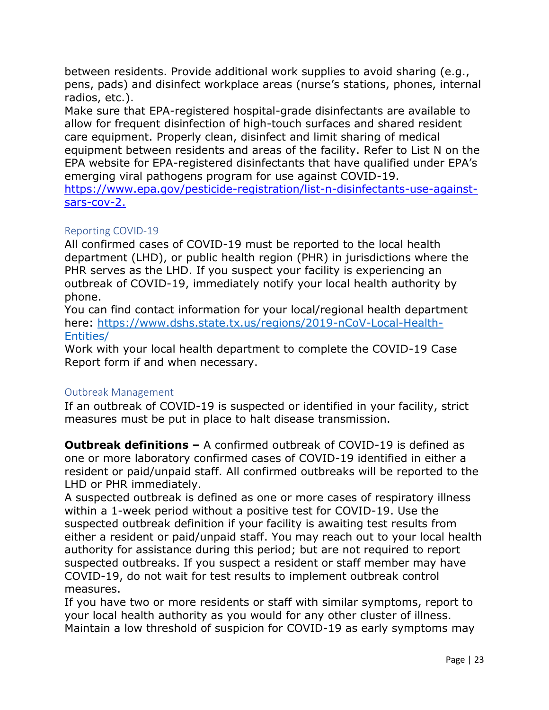between residents. Provide additional work supplies to avoid sharing (e.g., pens, pads) and disinfect workplace areas (nurse's stations, phones, internal radios, etc.).

Make sure that EPA-registered hospital-grade disinfectants are available to allow for frequent disinfection of high-touch surfaces and shared resident care equipment. Properly clean, disinfect and limit sharing of medical equipment between residents and areas of the facility. Refer to List N on the EPA website for EPA-registered disinfectants that have qualified under EPA's emerging viral pathogens program for use against COVID-19. [https://www.epa.gov/pesticide-registration/list-n-disinfectants-use-against](https://www.epa.gov/pesticide-registration/list-n-disinfectants-use-against-sars-cov-2)[sars-cov-2.](https://www.epa.gov/pesticide-registration/list-n-disinfectants-use-against-sars-cov-2)

### <span id="page-23-0"></span>Reporting COVID-19

All confirmed cases of COVID-19 must be reported to the local health department (LHD), or public health region (PHR) in jurisdictions where the PHR serves as the LHD. If you suspect your facility is experiencing an outbreak of COVID-19, immediately notify your local health authority by phone.

You can find contact information for your local/regional health department here: [https://www.dshs.state.tx.us/regions/2019-nCoV-Local-Health-](https://www.dshs.state.tx.us/regions/2019-nCoV-Local-Health-Entities/)[Entities/](https://www.dshs.state.tx.us/regions/2019-nCoV-Local-Health-Entities/)

Work with your local health department to complete the COVID-19 Case Report form if and when necessary.

### <span id="page-23-1"></span>Outbreak Management

If an outbreak of COVID-19 is suspected or identified in your facility, strict measures must be put in place to halt disease transmission.

**Outbreak definitions –** A confirmed outbreak of COVID-19 is defined as one or more laboratory confirmed cases of COVID-19 identified in either a resident or paid/unpaid staff. All confirmed outbreaks will be reported to the LHD or PHR immediately.

A suspected outbreak is defined as one or more cases of respiratory illness within a 1-week period without a positive test for COVID-19. Use the suspected outbreak definition if your facility is awaiting test results from either a resident or paid/unpaid staff. You may reach out to your local health authority for assistance during this period; but are not required to report suspected outbreaks. If you suspect a resident or staff member may have COVID-19, do not wait for test results to implement outbreak control measures.

If you have two or more residents or staff with similar symptoms, report to your local health authority as you would for any other cluster of illness. Maintain a low threshold of suspicion for COVID-19 as early symptoms may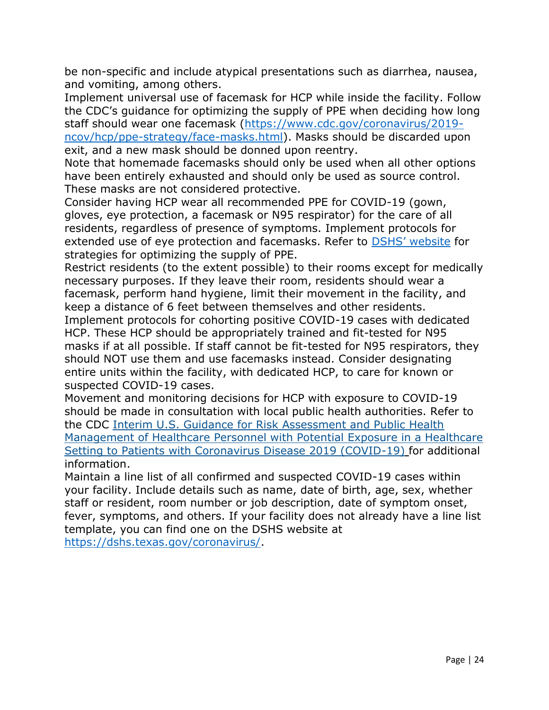be non-specific and include atypical presentations such as diarrhea, nausea, and vomiting, among others.

Implement universal use of facemask for HCP while inside the facility. Follow the CDC's guidance for optimizing the supply of PPE when deciding how long staff should wear one facemask [\(https://www.cdc.gov/coronavirus/2019](https://www.cdc.gov/coronavirus/2019-ncov/hcp/ppe-strategy/face-masks.html) [ncov/hcp/ppe-strategy/face-masks.html\)](https://www.cdc.gov/coronavirus/2019-ncov/hcp/ppe-strategy/face-masks.html). Masks should be discarded upon exit, and a new mask should be donned upon reentry.

Note that homemade facemasks should only be used when all other options have been entirely exhausted and should only be used as source control. These masks are not considered protective.

Consider having HCP wear all recommended PPE for COVID-19 (gown, gloves, eye protection, a facemask or N95 respirator) for the care of all residents, regardless of presence of symptoms. Implement protocols for extended use of eye protection and facemasks. Refer to [DSHS' website](https://www.dshs.state.tx.us/coronavirus/healthprof.aspx) for strategies for optimizing the supply of PPE.

Restrict residents (to the extent possible) to their rooms except for medically necessary purposes. If they leave their room, residents should wear a facemask, perform hand hygiene, limit their movement in the facility, and keep a distance of 6 feet between themselves and other residents.

Implement protocols for cohorting positive COVID-19 cases with dedicated HCP. These HCP should be appropriately trained and fit-tested for N95 masks if at all possible. If staff cannot be fit-tested for N95 respirators, they should NOT use them and use facemasks instead. Consider designating entire units within the facility, with dedicated HCP, to care for known or suspected COVID-19 cases.

Movement and monitoring decisions for HCP with exposure to COVID-19 should be made in consultation with local public health authorities. Refer to the CDC [Interim U.S. Guidance for Risk Assessment and Public Health](https://www.cdc.gov/coronavirus/2019-ncov/hcp/guidance-risk-assesment-hcp.html)  [Management of Healthcare Personnel with Potential Exposure in a Healthcare](https://www.cdc.gov/coronavirus/2019-ncov/hcp/guidance-risk-assesment-hcp.html)  [Setting to Patients with Coronavirus Disease 2019 \(COVID-19\)](https://www.cdc.gov/coronavirus/2019-ncov/hcp/guidance-risk-assesment-hcp.html) for additional information.

Maintain a line list of all confirmed and suspected COVID-19 cases within your facility. Include details such as name, date of birth, age, sex, whether staff or resident, room number or job description, date of symptom onset, fever, symptoms, and others. If your facility does not already have a line list template, you can find one on the DSHS website at

[https://dshs.texas.gov/coronavirus/.](https://dshs.texas.gov/coronavirus/)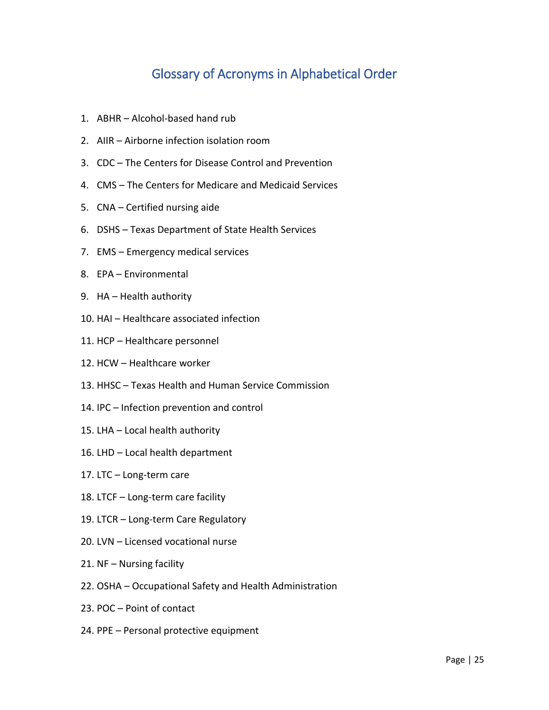# Glossary of Acronyms in Alphabetical Order

- <span id="page-25-0"></span>1. ABHR – Alcohol-based hand rub
- 2. AIIR Airborne infection isolation room
- 3. CDC The Centers for Disease Control and Prevention
- 4. CMS The Centers for Medicare and Medicaid Services
- 5. CNA Certified nursing aide
- 6. DSHS Texas Department of State Health Services
- 7. EMS Emergency medical services
- 8. EPA Environmental
- 9. HA Health authority
- 10. HAI Healthcare associated infection
- 11. HCP Healthcare personnel
- 12. HCW Healthcare worker
- 13. HHSC Texas Health and Human Service Commission
- 14. IPC Infection prevention and control
- 15. LHA Local health authority
- 16. LHD Local health department
- 17. LTC Long-term care
- 18. LTCF Long-term care facility
- 19. LTCR Long-term Care Regulatory
- 20. LVN Licensed vocational nurse
- 21. NF Nursing facility
- 22. OSHA Occupational Safety and Health Administration
- 23. POC Point of contact
- 24. PPE Personal protective equipment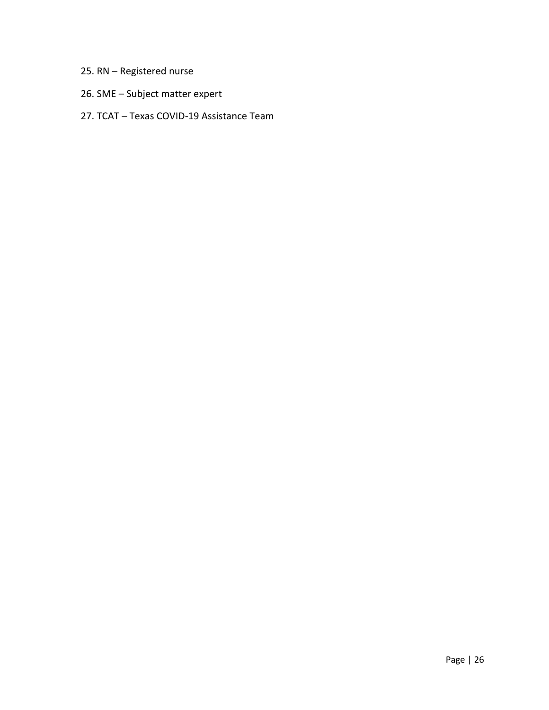# 25. RN – Registered nurse

26. SME – Subject matter expert

## 27. TCAT – Texas COVID-19 Assistance Team